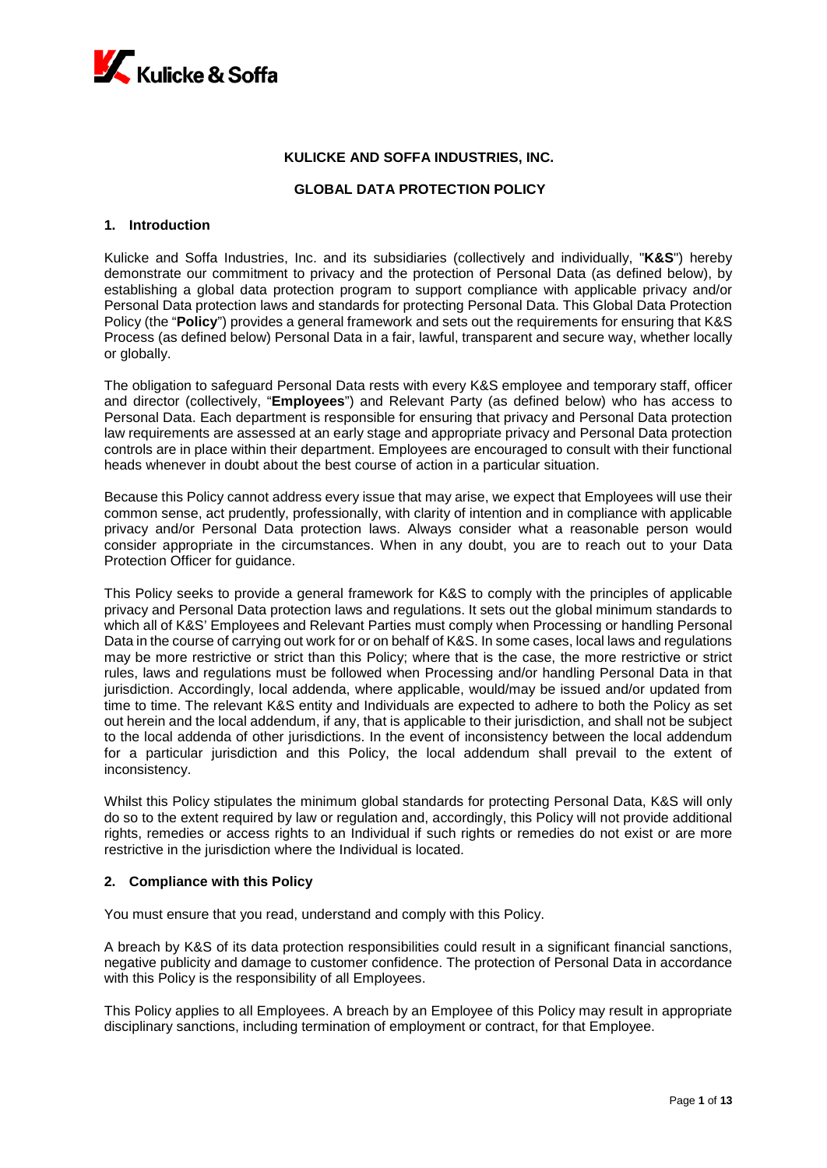

# **KULICKE AND SOFFA INDUSTRIES, INC.**

## **GLOBAL DATA PROTECTION POLICY**

#### **1. Introduction**

Kulicke and Soffa Industries, Inc. and its subsidiaries (collectively and individually, "**K&S**") hereby demonstrate our commitment to privacy and the protection of Personal Data (as defined below), by establishing a global data protection program to support compliance with applicable privacy and/or Personal Data protection laws and standards for protecting Personal Data. This Global Data Protection Policy (the "**Policy**") provides a general framework and sets out the requirements for ensuring that K&S Process (as defined below) Personal Data in a fair, lawful, transparent and secure way, whether locally or globally.

The obligation to safeguard Personal Data rests with every K&S employee and temporary staff, officer and director (collectively, "**Employees**") and Relevant Party (as defined below) who has access to Personal Data. Each department is responsible for ensuring that privacy and Personal Data protection law requirements are assessed at an early stage and appropriate privacy and Personal Data protection controls are in place within their department. Employees are encouraged to consult with their functional heads whenever in doubt about the best course of action in a particular situation.

Because this Policy cannot address every issue that may arise, we expect that Employees will use their common sense, act prudently, professionally, with clarity of intention and in compliance with applicable privacy and/or Personal Data protection laws. Always consider what a reasonable person would consider appropriate in the circumstances. When in any doubt, you are to reach out to your Data Protection Officer for guidance.

This Policy seeks to provide a general framework for K&S to comply with the principles of applicable privacy and Personal Data protection laws and regulations. It sets out the global minimum standards to which all of K&S' Employees and Relevant Parties must comply when Processing or handling Personal Data in the course of carrying out work for or on behalf of K&S. In some cases, local laws and regulations may be more restrictive or strict than this Policy; where that is the case, the more restrictive or strict rules, laws and regulations must be followed when Processing and/or handling Personal Data in that jurisdiction. Accordingly, local addenda, where applicable, would/may be issued and/or updated from time to time. The relevant K&S entity and Individuals are expected to adhere to both the Policy as set out herein and the local addendum, if any, that is applicable to their jurisdiction, and shall not be subject to the local addenda of other jurisdictions. In the event of inconsistency between the local addendum for a particular jurisdiction and this Policy, the local addendum shall prevail to the extent of inconsistency.

Whilst this Policy stipulates the minimum global standards for protecting Personal Data, K&S will only do so to the extent required by law or regulation and, accordingly, this Policy will not provide additional rights, remedies or access rights to an Individual if such rights or remedies do not exist or are more restrictive in the jurisdiction where the Individual is located.

## **2. Compliance with this Policy**

You must ensure that you read, understand and comply with this Policy.

A breach by K&S of its data protection responsibilities could result in a significant financial sanctions, negative publicity and damage to customer confidence. The protection of Personal Data in accordance with this Policy is the responsibility of all Employees.

This Policy applies to all Employees. A breach by an Employee of this Policy may result in appropriate disciplinary sanctions, including termination of employment or contract, for that Employee.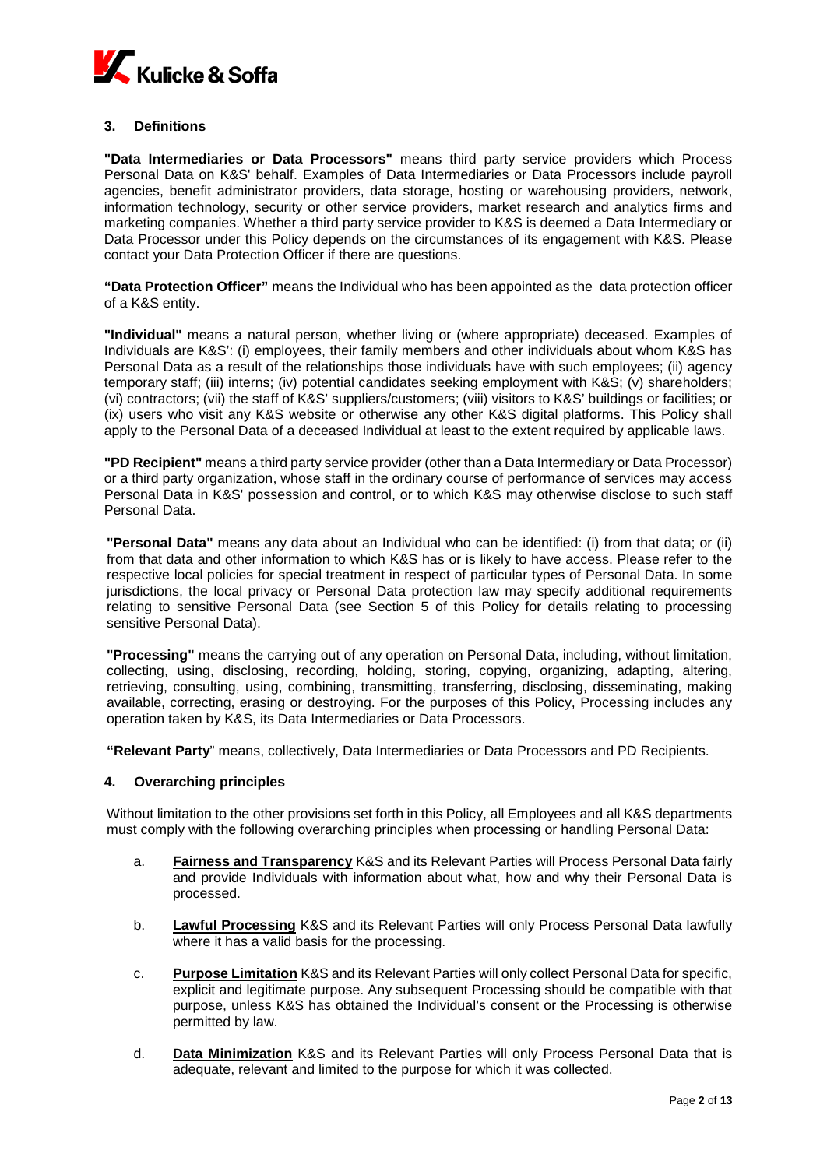

# **3. Definitions**

**"Data Intermediaries or Data Processors"** means third party service providers which Process Personal Data on K&S' behalf. Examples of Data Intermediaries or Data Processors include payroll agencies, benefit administrator providers, data storage, hosting or warehousing providers, network, information technology, security or other service providers, market research and analytics firms and marketing companies. Whether a third party service provider to K&S is deemed a Data Intermediary or Data Processor under this Policy depends on the circumstances of its engagement with K&S. Please contact your Data Protection Officer if there are questions.

**"Data Protection Officer"** means the Individual who has been appointed as the data protection officer of a K&S entity.

**"Individual"** means a natural person, whether living or (where appropriate) deceased. Examples of Individuals are K&S': (i) employees, their family members and other individuals about whom K&S has Personal Data as a result of the relationships those individuals have with such employees; (ii) agency temporary staff; (iii) interns; (iv) potential candidates seeking employment with K&S; (v) shareholders; (vi) contractors; (vii) the staff of K&S' suppliers/customers; (viii) visitors to K&S' buildings or facilities; or (ix) users who visit any K&S website or otherwise any other K&S digital platforms. This Policy shall apply to the Personal Data of a deceased Individual at least to the extent required by applicable laws.

**"PD Recipient"** means a third party service provider (other than a Data Intermediary or Data Processor) or a third party organization, whose staff in the ordinary course of performance of services may access Personal Data in K&S' possession and control, or to which K&S may otherwise disclose to such staff Personal Data.

**"Personal Data"** means any data about an Individual who can be identified: (i) from that data; or (ii) from that data and other information to which K&S has or is likely to have access. Please refer to the respective local policies for special treatment in respect of particular types of Personal Data. In some jurisdictions, the local privacy or Personal Data protection law may specify additional requirements relating to sensitive Personal Data (see Section 5 of this Policy for details relating to processing sensitive Personal Data).

**"Processing"** means the carrying out of any operation on Personal Data, including, without limitation, collecting, using, disclosing, recording, holding, storing, copying, organizing, adapting, altering, retrieving, consulting, using, combining, transmitting, transferring, disclosing, disseminating, making available, correcting, erasing or destroying. For the purposes of this Policy, Processing includes any operation taken by K&S, its Data Intermediaries or Data Processors.

**"Relevant Party**" means, collectively, Data Intermediaries or Data Processors and PD Recipients.

## **4. Overarching principles**

Without limitation to the other provisions set forth in this Policy, all Employees and all K&S departments must comply with the following overarching principles when processing or handling Personal Data:

- a. **Fairness and Transparency** K&S and its Relevant Parties will Process Personal Data fairly and provide Individuals with information about what, how and why their Personal Data is processed.
- b. **Lawful Processing** K&S and its Relevant Parties will only Process Personal Data lawfully where it has a valid basis for the processing.
- c. **Purpose Limitation** K&S and its Relevant Parties will only collect Personal Data for specific, explicit and legitimate purpose. Any subsequent Processing should be compatible with that purpose, unless K&S has obtained the Individual's consent or the Processing is otherwise permitted by law.
- d. **Data Minimization** K&S and its Relevant Parties will only Process Personal Data that is adequate, relevant and limited to the purpose for which it was collected.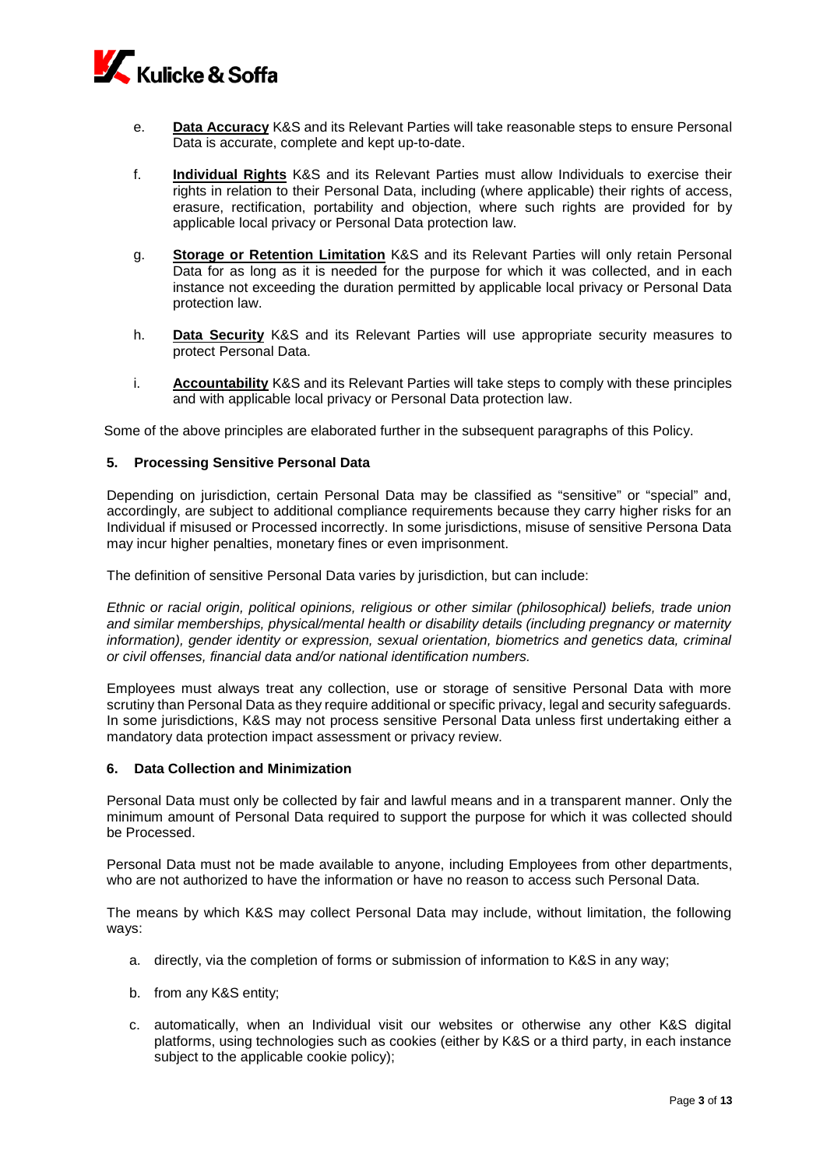

- e. **Data Accuracy** K&S and its Relevant Parties will take reasonable steps to ensure Personal Data is accurate, complete and kept up-to-date.
- f. **Individual Rights** K&S and its Relevant Parties must allow Individuals to exercise their rights in relation to their Personal Data, including (where applicable) their rights of access, erasure, rectification, portability and objection, where such rights are provided for by applicable local privacy or Personal Data protection law.
- g. **Storage or Retention Limitation** K&S and its Relevant Parties will only retain Personal Data for as long as it is needed for the purpose for which it was collected, and in each instance not exceeding the duration permitted by applicable local privacy or Personal Data protection law.
- h. **Data Security** K&S and its Relevant Parties will use appropriate security measures to protect Personal Data.
- i. **Accountability** K&S and its Relevant Parties will take steps to comply with these principles and with applicable local privacy or Personal Data protection law.

Some of the above principles are elaborated further in the subsequent paragraphs of this Policy.

#### **5. Processing Sensitive Personal Data**

Depending on jurisdiction, certain Personal Data may be classified as "sensitive" or "special" and, accordingly, are subject to additional compliance requirements because they carry higher risks for an Individual if misused or Processed incorrectly. In some jurisdictions, misuse of sensitive Persona Data may incur higher penalties, monetary fines or even imprisonment.

The definition of sensitive Personal Data varies by jurisdiction, but can include:

*Ethnic or racial origin, political opinions, religious or other similar (philosophical) beliefs, trade union and similar memberships, physical/mental health or disability details (including pregnancy or maternity information), gender identity or expression, sexual orientation, biometrics and genetics data, criminal or civil offenses, financial data and/or national identification numbers.*

Employees must always treat any collection, use or storage of sensitive Personal Data with more scrutiny than Personal Data as they require additional or specific privacy, legal and security safeguards. In some jurisdictions, K&S may not process sensitive Personal Data unless first undertaking either a mandatory data protection impact assessment or privacy review.

#### **6. Data Collection and Minimization**

Personal Data must only be collected by fair and lawful means and in a transparent manner. Only the minimum amount of Personal Data required to support the purpose for which it was collected should be Processed.

Personal Data must not be made available to anyone, including Employees from other departments, who are not authorized to have the information or have no reason to access such Personal Data.

The means by which K&S may collect Personal Data may include, without limitation, the following ways:

- a. directly, via the completion of forms or submission of information to K&S in any way;
- b. from any K&S entity;
- c. automatically, when an Individual visit our websites or otherwise any other K&S digital platforms, using technologies such as cookies (either by K&S or a third party, in each instance subject to the applicable cookie policy);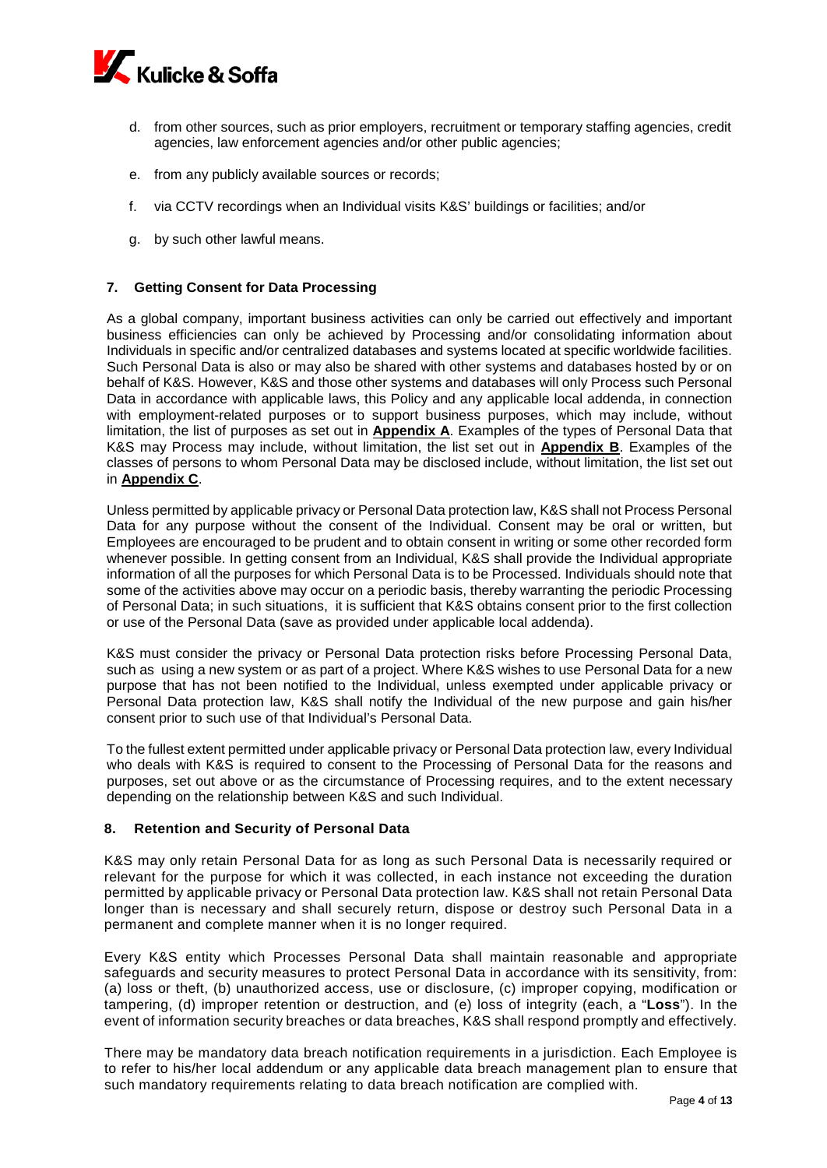

- d. from other sources, such as prior employers, recruitment or temporary staffing agencies, credit agencies, law enforcement agencies and/or other public agencies;
- e. from any publicly available sources or records;
- f. via CCTV recordings when an Individual visits K&S' buildings or facilities; and/or
- g. by such other lawful means.

#### **7. Getting Consent for Data Processing**

As a global company, important business activities can only be carried out effectively and important business efficiencies can only be achieved by Processing and/or consolidating information about Individuals in specific and/or centralized databases and systems located at specific worldwide facilities. Such Personal Data is also or may also be shared with other systems and databases hosted by or on behalf of K&S. However, K&S and those other systems and databases will only Process such Personal Data in accordance with applicable laws, this Policy and any applicable local addenda, in connection with employment-related purposes or to support business purposes, which may include, without limitation, the list of purposes as set out in **Appendix A**. Examples of the types of Personal Data that K&S may Process may include, without limitation, the list set out in **Appendix B**. Examples of the classes of persons to whom Personal Data may be disclosed include, without limitation, the list set out in **Appendix C**.

Unless permitted by applicable privacy or Personal Data protection law, K&S shall not Process Personal Data for any purpose without the consent of the Individual. Consent may be oral or written, but Employees are encouraged to be prudent and to obtain consent in writing or some other recorded form whenever possible. In getting consent from an Individual, K&S shall provide the Individual appropriate information of all the purposes for which Personal Data is to be Processed. Individuals should note that some of the activities above may occur on a periodic basis, thereby warranting the periodic Processing of Personal Data; in such situations, it is sufficient that K&S obtains consent prior to the first collection or use of the Personal Data (save as provided under applicable local addenda).

K&S must consider the privacy or Personal Data protection risks before Processing Personal Data, such as using a new system or as part of a project. Where K&S wishes to use Personal Data for a new purpose that has not been notified to the Individual, unless exempted under applicable privacy or Personal Data protection law, K&S shall notify the Individual of the new purpose and gain his/her consent prior to such use of that Individual's Personal Data.

To the fullest extent permitted under applicable privacy or Personal Data protection law, every Individual who deals with K&S is required to consent to the Processing of Personal Data for the reasons and purposes, set out above or as the circumstance of Processing requires, and to the extent necessary depending on the relationship between K&S and such Individual.

## **8. Retention and Security of Personal Data**

K&S may only retain Personal Data for as long as such Personal Data is necessarily required or relevant for the purpose for which it was collected, in each instance not exceeding the duration permitted by applicable privacy or Personal Data protection law. K&S shall not retain Personal Data longer than is necessary and shall securely return, dispose or destroy such Personal Data in a permanent and complete manner when it is no longer required.

Every K&S entity which Processes Personal Data shall maintain reasonable and appropriate safeguards and security measures to protect Personal Data in accordance with its sensitivity, from: (a) loss or theft, (b) unauthorized access, use or disclosure, (c) improper copying, modification or tampering, (d) improper retention or destruction, and (e) loss of integrity (each, a "**Loss**"). In the event of information security breaches or data breaches, K&S shall respond promptly and effectively.

There may be mandatory data breach notification requirements in a jurisdiction. Each Employee is to refer to his/her local addendum or any applicable data breach management plan to ensure that such mandatory requirements relating to data breach notification are complied with.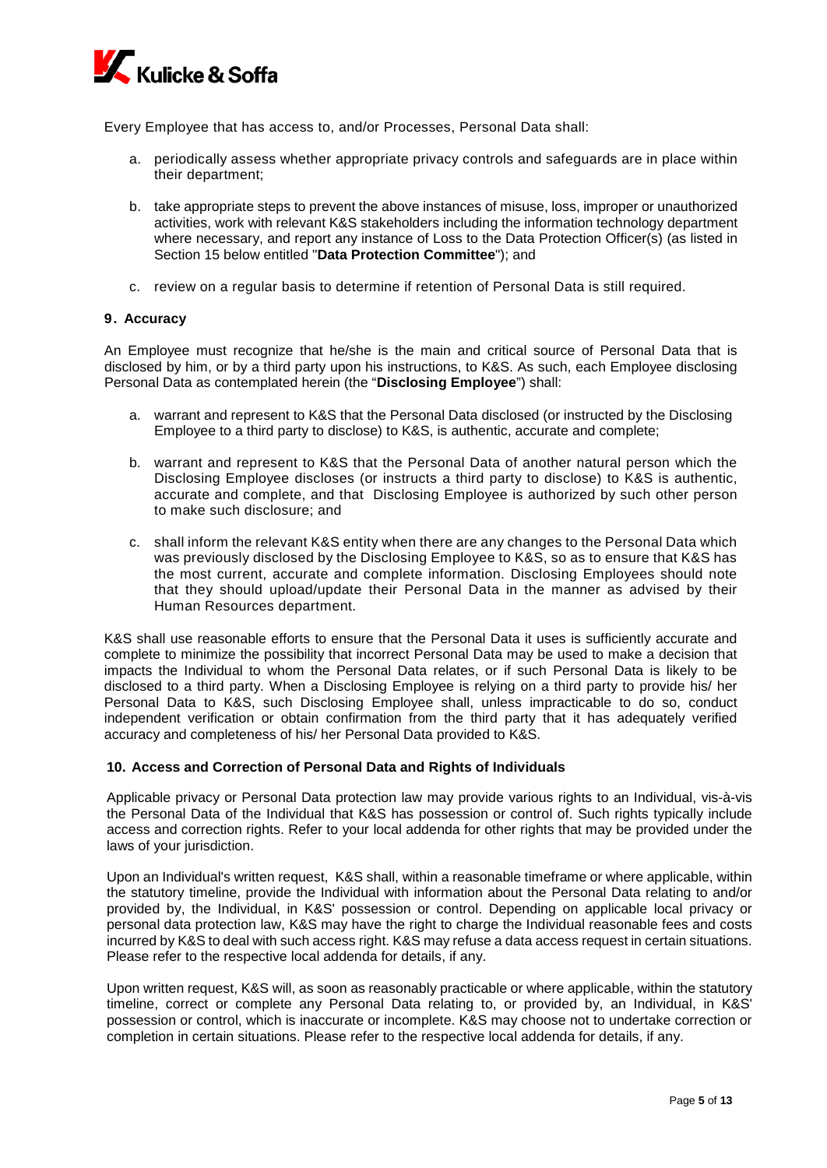

Every Employee that has access to, and/or Processes, Personal Data shall:

- a. periodically assess whether appropriate privacy controls and safeguards are in place within their department;
- b. take appropriate steps to prevent the above instances of misuse, loss, improper or unauthorized activities, work with relevant K&S stakeholders including the information technology department where necessary, and report any instance of Loss to the Data Protection Officer(s) (as listed in Section 15 below entitled "**Data Protection Committee**"); and
- c. review on a regular basis to determine if retention of Personal Data is still required.

## **9. Accuracy**

An Employee must recognize that he/she is the main and critical source of Personal Data that is disclosed by him, or by a third party upon his instructions, to K&S. As such, each Employee disclosing Personal Data as contemplated herein (the "**Disclosing Employee**") shall:

- a. warrant and represent to K&S that the Personal Data disclosed (or instructed by the Disclosing Employee to a third party to disclose) to K&S, is authentic, accurate and complete;
- b. warrant and represent to K&S that the Personal Data of another natural person which the Disclosing Employee discloses (or instructs a third party to disclose) to K&S is authentic, accurate and complete, and that Disclosing Employee is authorized by such other person to make such disclosure; and
- c. shall inform the relevant K&S entity when there are any changes to the Personal Data which was previously disclosed by the Disclosing Employee to K&S, so as to ensure that K&S has the most current, accurate and complete information. Disclosing Employees should note that they should upload/update their Personal Data in the manner as advised by their Human Resources department.

K&S shall use reasonable efforts to ensure that the Personal Data it uses is sufficiently accurate and complete to minimize the possibility that incorrect Personal Data may be used to make a decision that impacts the Individual to whom the Personal Data relates, or if such Personal Data is likely to be disclosed to a third party. When a Disclosing Employee is relying on a third party to provide his/ her Personal Data to K&S, such Disclosing Employee shall, unless impracticable to do so, conduct independent verification or obtain confirmation from the third party that it has adequately verified accuracy and completeness of his/ her Personal Data provided to K&S.

## **10. Access and Correction of Personal Data and Rights of Individuals**

Applicable privacy or Personal Data protection law may provide various rights to an Individual, vis-à-vis the Personal Data of the Individual that K&S has possession or control of. Such rights typically include access and correction rights. Refer to your local addenda for other rights that may be provided under the laws of your jurisdiction.

Upon an Individual's written request, K&S shall, within a reasonable timeframe or where applicable, within the statutory timeline, provide the Individual with information about the Personal Data relating to and/or provided by, the Individual, in K&S' possession or control. Depending on applicable local privacy or personal data protection law, K&S may have the right to charge the Individual reasonable fees and costs incurred by K&S to deal with such access right. K&S may refuse a data access request in certain situations. Please refer to the respective local addenda for details, if any.

Upon written request, K&S will, as soon as reasonably practicable or where applicable, within the statutory timeline, correct or complete any Personal Data relating to, or provided by, an Individual, in K&S' possession or control, which is inaccurate or incomplete. K&S may choose not to undertake correction or completion in certain situations. Please refer to the respective local addenda for details, if any.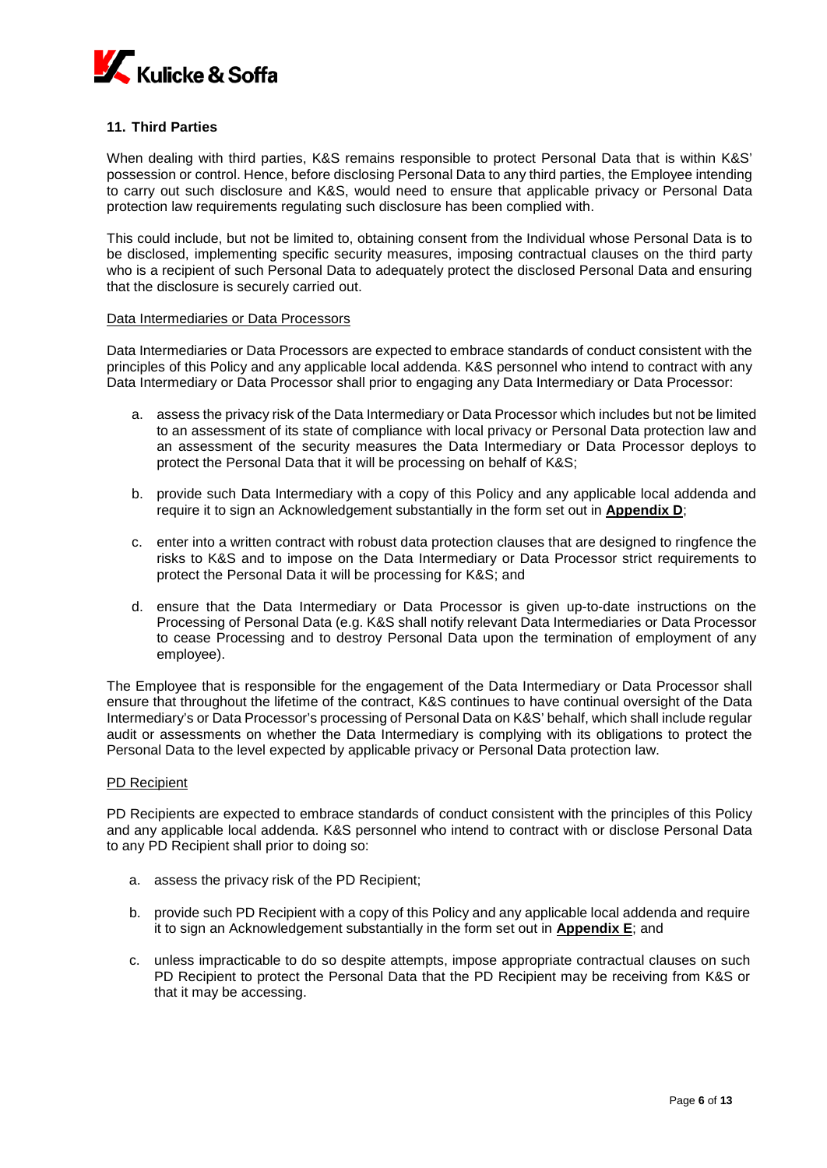

## **11. Third Parties**

When dealing with third parties, K&S remains responsible to protect Personal Data that is within K&S' possession or control. Hence, before disclosing Personal Data to any third parties, the Employee intending to carry out such disclosure and K&S, would need to ensure that applicable privacy or Personal Data protection law requirements regulating such disclosure has been complied with.

This could include, but not be limited to, obtaining consent from the Individual whose Personal Data is to be disclosed, implementing specific security measures, imposing contractual clauses on the third party who is a recipient of such Personal Data to adequately protect the disclosed Personal Data and ensuring that the disclosure is securely carried out.

#### Data Intermediaries or Data Processors

Data Intermediaries or Data Processors are expected to embrace standards of conduct consistent with the principles of this Policy and any applicable local addenda. K&S personnel who intend to contract with any Data Intermediary or Data Processor shall prior to engaging any Data Intermediary or Data Processor:

- a. assess the privacy risk of the Data Intermediary or Data Processor which includes but not be limited to an assessment of its state of compliance with local privacy or Personal Data protection law and an assessment of the security measures the Data Intermediary or Data Processor deploys to protect the Personal Data that it will be processing on behalf of K&S;
- b. provide such Data Intermediary with a copy of this Policy and any applicable local addenda and require it to sign an Acknowledgement substantially in the form set out in **Appendix D**;
- c. enter into a written contract with robust data protection clauses that are designed to ringfence the risks to K&S and to impose on the Data Intermediary or Data Processor strict requirements to protect the Personal Data it will be processing for K&S; and
- d. ensure that the Data Intermediary or Data Processor is given up-to-date instructions on the Processing of Personal Data (e.g. K&S shall notify relevant Data Intermediaries or Data Processor to cease Processing and to destroy Personal Data upon the termination of employment of any employee).

The Employee that is responsible for the engagement of the Data Intermediary or Data Processor shall ensure that throughout the lifetime of the contract, K&S continues to have continual oversight of the Data Intermediary's or Data Processor's processing of Personal Data on K&S' behalf, which shall include regular audit or assessments on whether the Data Intermediary is complying with its obligations to protect the Personal Data to the level expected by applicable privacy or Personal Data protection law.

## PD Recipient

PD Recipients are expected to embrace standards of conduct consistent with the principles of this Policy and any applicable local addenda. K&S personnel who intend to contract with or disclose Personal Data to any PD Recipient shall prior to doing so:

- a. assess the privacy risk of the PD Recipient;
- b. provide such PD Recipient with a copy of this Policy and any applicable local addenda and require it to sign an Acknowledgement substantially in the form set out in **Appendix E**; and
- c. unless impracticable to do so despite attempts, impose appropriate contractual clauses on such PD Recipient to protect the Personal Data that the PD Recipient may be receiving from K&S or that it may be accessing.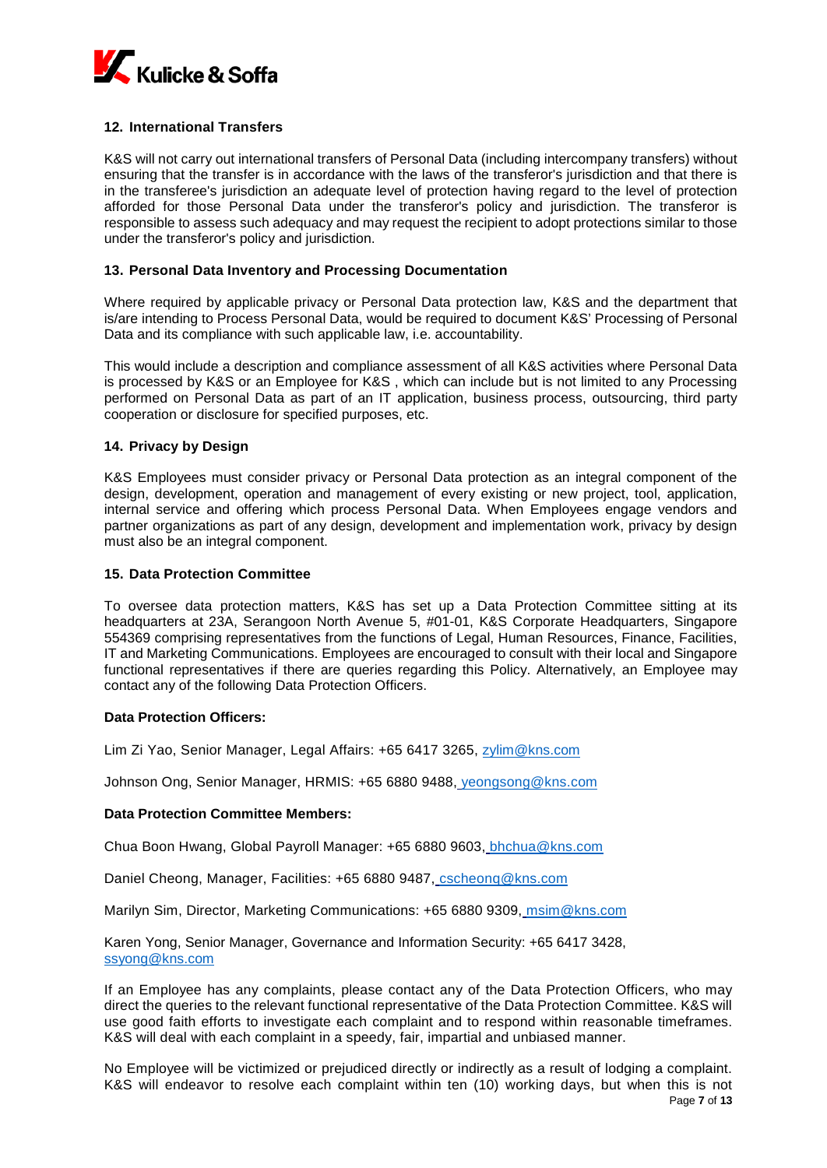

# **12. International Transfers**

K&S will not carry out international transfers of Personal Data (including intercompany transfers) without ensuring that the transfer is in accordance with the laws of the transferor's jurisdiction and that there is in the transferee's jurisdiction an adequate level of protection having regard to the level of protection afforded for those Personal Data under the transferor's policy and jurisdiction. The transferor is responsible to assess such adequacy and may request the recipient to adopt protections similar to those under the transferor's policy and jurisdiction.

## **13. Personal Data Inventory and Processing Documentation**

Where required by applicable privacy or Personal Data protection law, K&S and the department that is/are intending to Process Personal Data, would be required to document K&S' Processing of Personal Data and its compliance with such applicable law, i.e. accountability.

This would include a description and compliance assessment of all K&S activities where Personal Data is processed by K&S or an Employee for K&S , which can include but is not limited to any Processing performed on Personal Data as part of an IT application, business process, outsourcing, third party cooperation or disclosure for specified purposes, etc.

## **14. Privacy by Design**

K&S Employees must consider privacy or Personal Data protection as an integral component of the design, development, operation and management of every existing or new project, tool, application, internal service and offering which process Personal Data. When Employees engage vendors and partner organizations as part of any design, development and implementation work, privacy by design must also be an integral component.

## **15. Data Protection Committee**

To oversee data protection matters, K&S has set up a Data Protection Committee sitting at its headquarters at 23A, Serangoon North Avenue 5, #01-01, K&S Corporate Headquarters, Singapore 554369 comprising representatives from the functions of Legal, Human Resources, Finance, Facilities, IT and Marketing Communications. Employees are encouraged to consult with their local and Singapore functional representatives if there are queries regarding this Policy. Alternatively, an Employee may contact any of the following Data Protection Officers.

## **Data Protection Officers:**

Lim Zi Yao, Senior Manager, Legal Affairs: +65 6417 3265, [zylim@kns.com](mailto:zylim@kns.com)

Johnson Ong, Senior Manager, HRMIS: +65 6880 9488, [yeongsong@kns.com](mailto:yeongsong@kns.com)

## **Data Protection Committee Members:**

Chua Boon Hwang, Global Payroll Manager: +65 6880 9603, [bhchua@kns.com](mailto:bhchua@kns.com)

Daniel Cheong, Manager, Facilities: +65 6880 9487, [cscheonq@kns.com](mailto:cscheonq@kns.com)

Marilyn Sim, Director, Marketing Communications: +65 6880 9309, [msim@kns.com](mailto:msim@kns.com)

Karen Yong, Senior Manager, Governance and Information Security: +65 6417 3428, [ssyong@kns.com](mailto:ssyong@kns.com)

If an Employee has any complaints, please contact any of the Data Protection Officers, who may direct the queries to the relevant functional representative of the Data Protection Committee. K&S will use good faith efforts to investigate each complaint and to respond within reasonable timeframes. K&S will deal with each complaint in a speedy, fair, impartial and unbiased manner.

Page **7** of **13** No Employee will be victimized or prejudiced directly or indirectly as a result of lodging a complaint. K&S will endeavor to resolve each complaint within ten (10) working days, but when this is not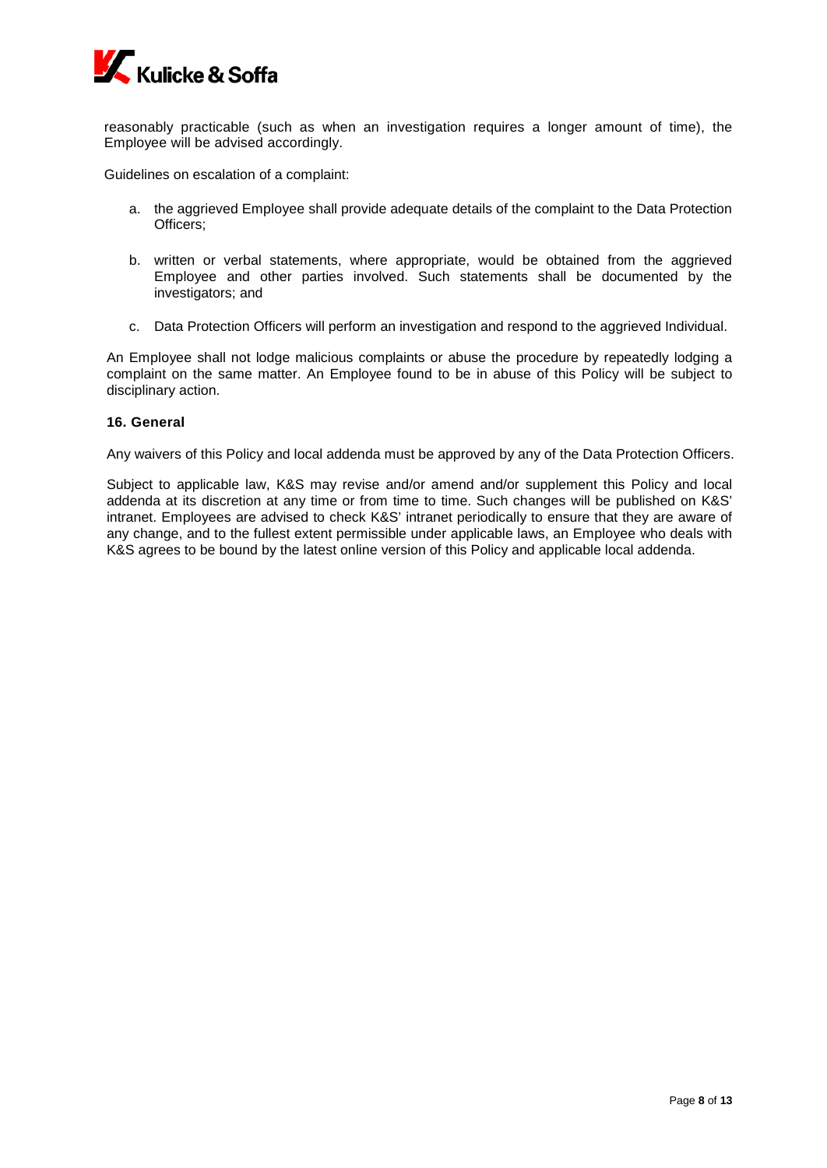

reasonably practicable (such as when an investigation requires a longer amount of time), the Employee will be advised accordingly.

Guidelines on escalation of a complaint:

- a. the aggrieved Employee shall provide adequate details of the complaint to the Data Protection Officers;
- b. written or verbal statements, where appropriate, would be obtained from the aggrieved Employee and other parties involved. Such statements shall be documented by the investigators; and
- c. Data Protection Officers will perform an investigation and respond to the aggrieved Individual.

An Employee shall not lodge malicious complaints or abuse the procedure by repeatedly lodging a complaint on the same matter. An Employee found to be in abuse of this Policy will be subject to disciplinary action.

#### **16. General**

Any waivers of this Policy and local addenda must be approved by any of the Data Protection Officers.

Subject to applicable law, K&S may revise and/or amend and/or supplement this Policy and local addenda at its discretion at any time or from time to time. Such changes will be published on K&S' intranet. Employees are advised to check K&S' intranet periodically to ensure that they are aware of any change, and to the fullest extent permissible under applicable laws, an Employee who deals with K&S agrees to be bound by the latest online version of this Policy and applicable local addenda.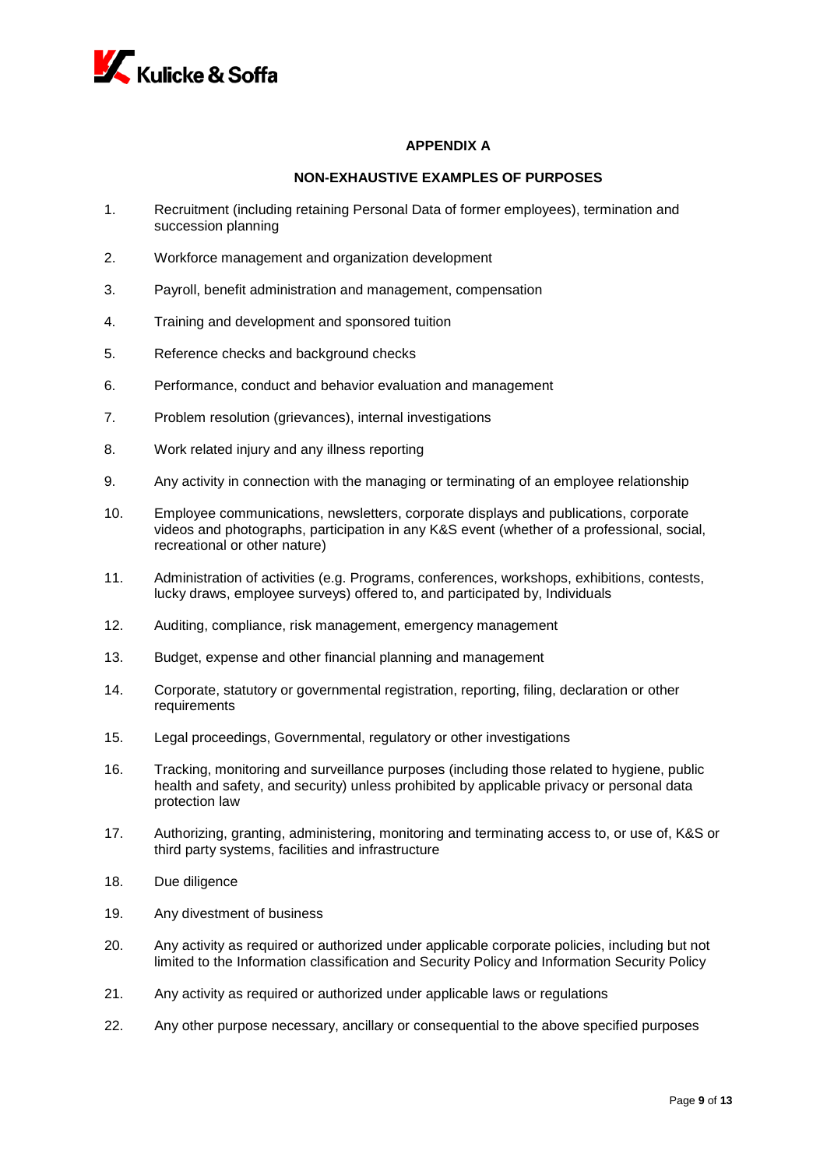

# **APPENDIX A**

## **NON-EXHAUSTIVE EXAMPLES OF PURPOSES**

- 1. Recruitment (including retaining Personal Data of former employees), termination and succession planning
- 2. Workforce management and organization development
- 3. Payroll, benefit administration and management, compensation
- 4. Training and development and sponsored tuition
- 5. Reference checks and background checks
- 6. Performance, conduct and behavior evaluation and management
- 7. Problem resolution (grievances), internal investigations
- 8. Work related injury and any illness reporting
- 9. Any activity in connection with the managing or terminating of an employee relationship
- 10. Employee communications, newsletters, corporate displays and publications, corporate videos and photographs, participation in any K&S event (whether of a professional, social, recreational or other nature)
- 11. Administration of activities (e.g. Programs, conferences, workshops, exhibitions, contests, lucky draws, employee surveys) offered to, and participated by, Individuals
- 12. Auditing, compliance, risk management, emergency management
- 13. Budget, expense and other financial planning and management
- 14. Corporate, statutory or governmental registration, reporting, filing, declaration or other requirements
- 15. Legal proceedings, Governmental, regulatory or other investigations
- 16. Tracking, monitoring and surveillance purposes (including those related to hygiene, public health and safety, and security) unless prohibited by applicable privacy or personal data protection law
- 17. Authorizing, granting, administering, monitoring and terminating access to, or use of, K&S or third party systems, facilities and infrastructure
- 18. Due diligence
- 19. Any divestment of business
- 20. Any activity as required or authorized under applicable corporate policies, including but not limited to the Information classification and Security Policy and Information Security Policy
- 21. Any activity as required or authorized under applicable laws or regulations
- 22. Any other purpose necessary, ancillary or consequential to the above specified purposes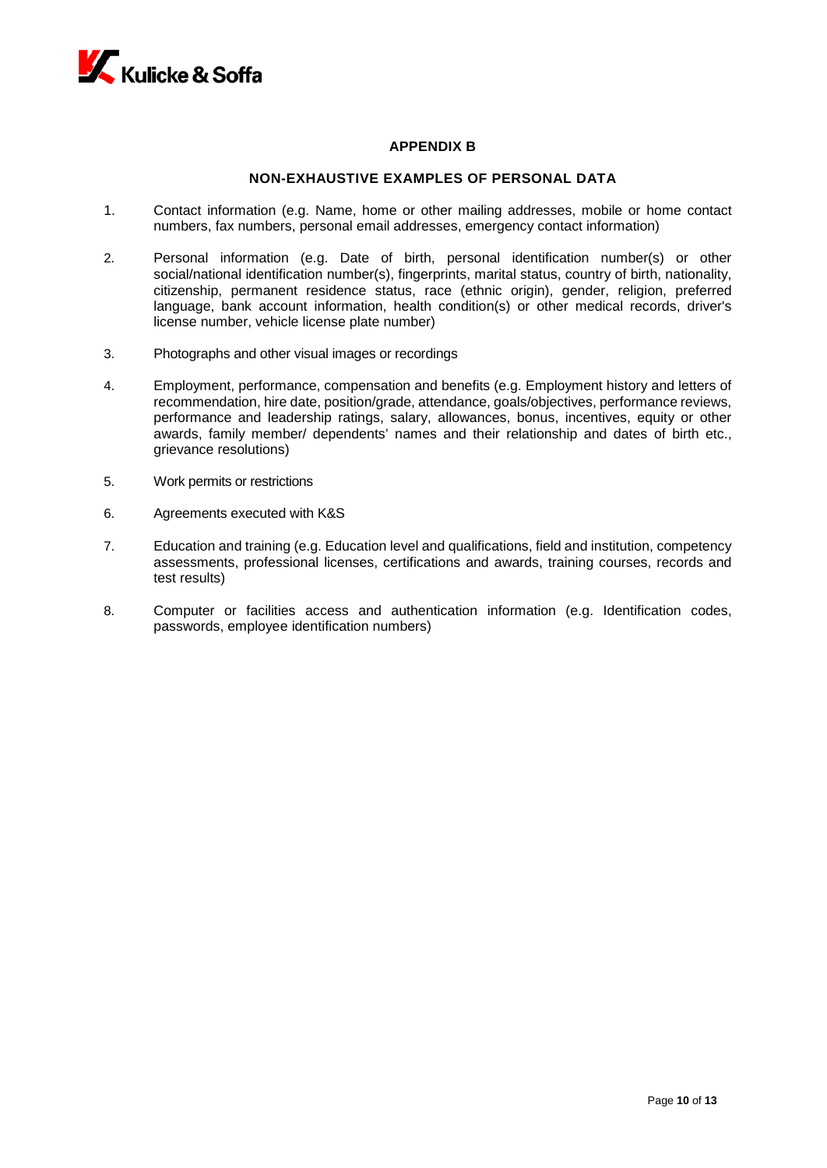

## **APPENDIX B**

## **NON-EXHAUSTIVE EXAMPLES OF PERSONAL DATA**

- 1. Contact information (e.g. Name, home or other mailing addresses, mobile or home contact numbers, fax numbers, personal email addresses, emergency contact information)
- 2. Personal information (e.g. Date of birth, personal identification number(s) or other social/national identification number(s), fingerprints, marital status, country of birth, nationality, citizenship, permanent residence status, race (ethnic origin), gender, religion, preferred language, bank account information, health condition(s) or other medical records, driver's license number, vehicle license plate number)
- 3. Photographs and other visual images or recordings
- 4. Employment, performance, compensation and benefits (e.g. Employment history and letters of recommendation, hire date, position/grade, attendance, goals/objectives, performance reviews, performance and leadership ratings, salary, allowances, bonus, incentives, equity or other awards, family member/ dependents' names and their relationship and dates of birth etc., grievance resolutions)
- 5. Work permits or restrictions
- 6. Agreements executed with K&S
- 7. Education and training (e.g. Education level and qualifications, field and institution, competency assessments, professional licenses, certifications and awards, training courses, records and test results)
- 8. Computer or facilities access and authentication information (e.g. Identification codes, passwords, employee identification numbers)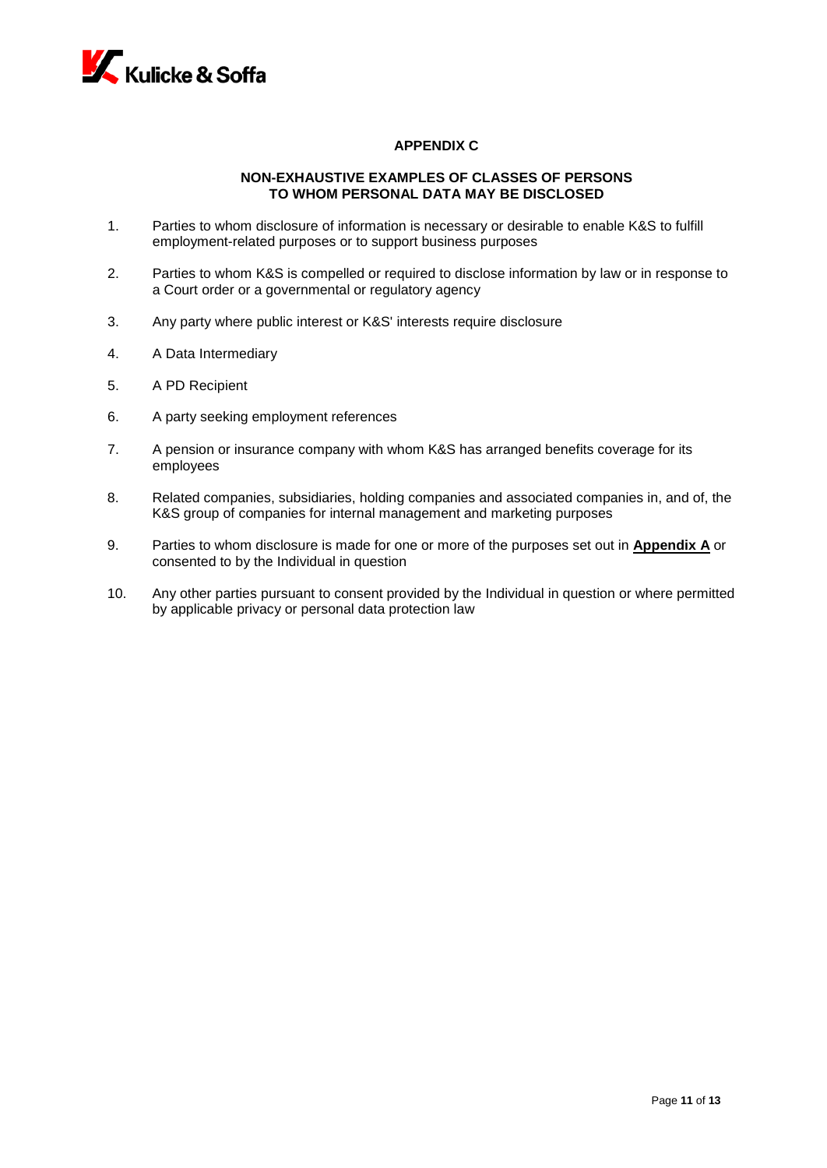

# **APPENDIX C**

# **NON-EXHAUSTIVE EXAMPLES OF CLASSES OF PERSONS TO WHOM PERSONAL DATA MAY BE DISCLOSED**

- 1. Parties to whom disclosure of information is necessary or desirable to enable K&S to fulfill employment-related purposes or to support business purposes
- 2. Parties to whom K&S is compelled or required to disclose information by law or in response to a Court order or a governmental or regulatory agency
- 3. Any party where public interest or K&S' interests require disclosure
- 4. A Data Intermediary
- 5. A PD Recipient
- 6. A party seeking employment references
- 7. A pension or insurance company with whom K&S has arranged benefits coverage for its employees
- 8. Related companies, subsidiaries, holding companies and associated companies in, and of, the K&S group of companies for internal management and marketing purposes
- 9. Parties to whom disclosure is made for one or more of the purposes set out in **Appendix A** or consented to by the Individual in question
- 10. Any other parties pursuant to consent provided by the Individual in question or where permitted by applicable privacy or personal data protection law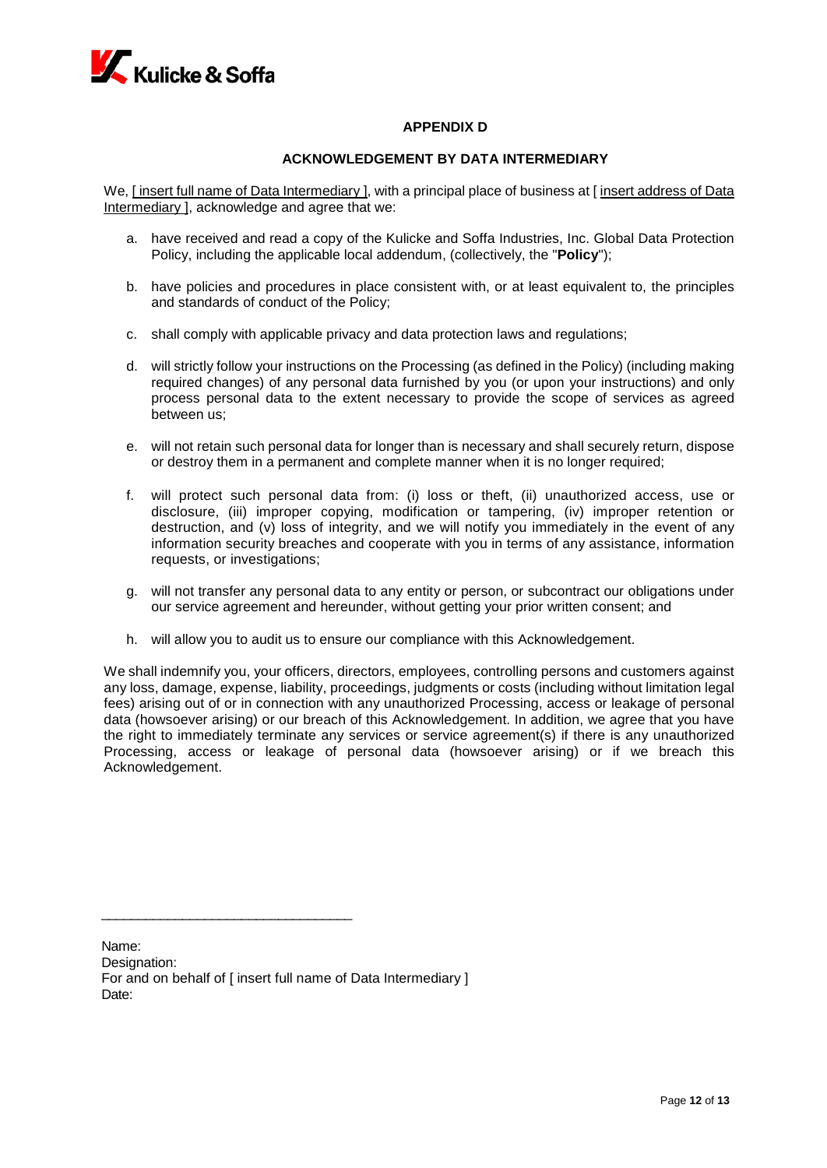

# **APPENDIX D**

## **ACKNOWLEDGEMENT BY DATA INTERMEDIARY**

We, I insert full name of Data Intermediary 1, with a principal place of business at I insert address of Data Intermediary ], acknowledge and agree that we:

- a. have received and read a copy of the Kulicke and Soffa Industries, Inc. Global Data Protection Policy, including the applicable local addendum, (collectively, the "**Policy**");
- b. have policies and procedures in place consistent with, or at least equivalent to, the principles and standards of conduct of the Policy;
- c. shall comply with applicable privacy and data protection laws and regulations;
- d. will strictly follow your instructions on the Processing (as defined in the Policy) (including making required changes) of any personal data furnished by you (or upon your instructions) and only process personal data to the extent necessary to provide the scope of services as agreed between us;
- e. will not retain such personal data for longer than is necessary and shall securely return, dispose or destroy them in a permanent and complete manner when it is no longer required;
- f. will protect such personal data from: (i) loss or theft, (ii) unauthorized access, use or disclosure, (iii) improper copying, modification or tampering, (iv) improper retention or destruction, and (v) loss of integrity, and we will notify you immediately in the event of any information security breaches and cooperate with you in terms of any assistance, information requests, or investigations;
- g. will not transfer any personal data to any entity or person, or subcontract our obligations under our service agreement and hereunder, without getting your prior written consent; and
- h. will allow you to audit us to ensure our compliance with this Acknowledgement.

We shall indemnify you, your officers, directors, employees, controlling persons and customers against any loss, damage, expense, liability, proceedings, judgments or costs (including without limitation legal fees) arising out of or in connection with any unauthorized Processing, access or leakage of personal data (howsoever arising) or our breach of this Acknowledgement. In addition, we agree that you have the right to immediately terminate any services or service agreement(s) if there is any unauthorized Processing, access or leakage of personal data (howsoever arising) or if we breach this Acknowledgement.

\_\_\_\_\_\_\_\_\_\_\_\_\_\_\_\_\_\_\_\_\_\_\_\_\_\_\_\_\_\_\_\_\_\_

Name: Designation: For and on behalf of [ insert full name of Data Intermediary ] Date: